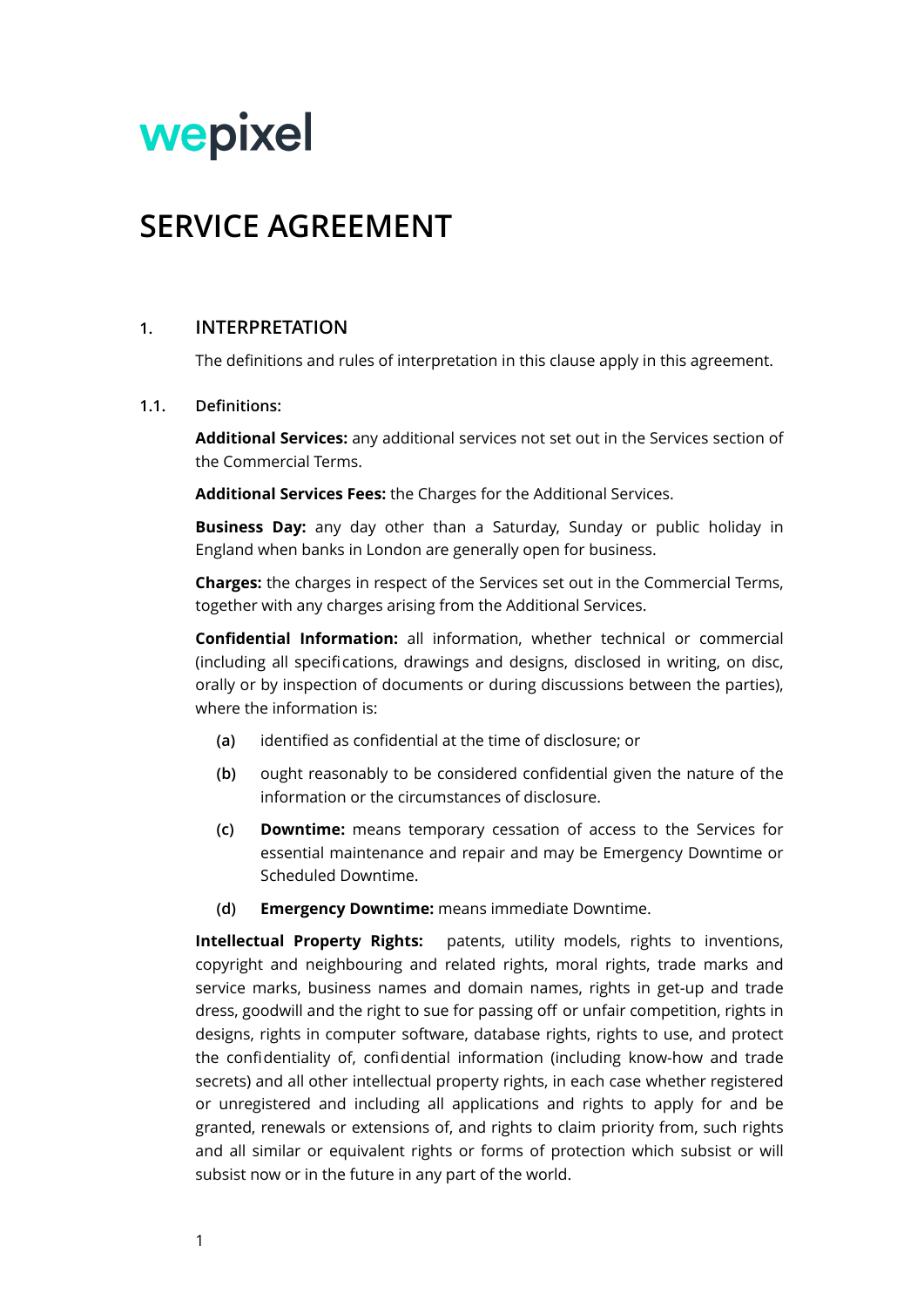# wepixel

# **SERVICE AGREEMENT**

# **1. INTERPRETATION**

The definitions and rules of interpretation in this clause apply in this agreement.

#### **1.1. Definitions:**

**Additional Services:** any additional services not set out in the Services section of the Commercial Terms.

**Additional Services Fees:** the Charges for the Additional Services.

**Business Day:** any day other than a Saturday, Sunday or public holiday in England when banks in London are generally open for business.

**Charges:** the charges in respect of the Services set out in the Commercial Terms, together with any charges arising from the Additional Services.

**Confidential Information:** all information, whether technical or commercial (including all specifications, drawings and designs, disclosed in writing, on disc, orally or by inspection of documents or during discussions between the parties), where the information is:

- **(a)** identified as confidential at the time of disclosure; or
- **(b)** ought reasonably to be considered confidential given the nature of the information or the circumstances of disclosure.
- **(c) Downtime:** means temporary cessation of access to the Services for essential maintenance and repair and may be Emergency Downtime or Scheduled Downtime.
- **(d) Emergency Downtime:** means immediate Downtime.

**Intellectual Property Rights:** patents, utility models, rights to inventions, copyright and neighbouring and related rights, moral rights, trade marks and service marks, business names and domain names, rights in get-up and trade dress, goodwill and the right to sue for passing off or unfair competition, rights in designs, rights in computer software, database rights, rights to use, and protect the confidentiality of, confidential information (including know-how and trade secrets) and all other intellectual property rights, in each case whether registered or unregistered and including all applications and rights to apply for and be granted, renewals or extensions of, and rights to claim priority from, such rights and all similar or equivalent rights or forms of protection which subsist or will subsist now or in the future in any part of the world.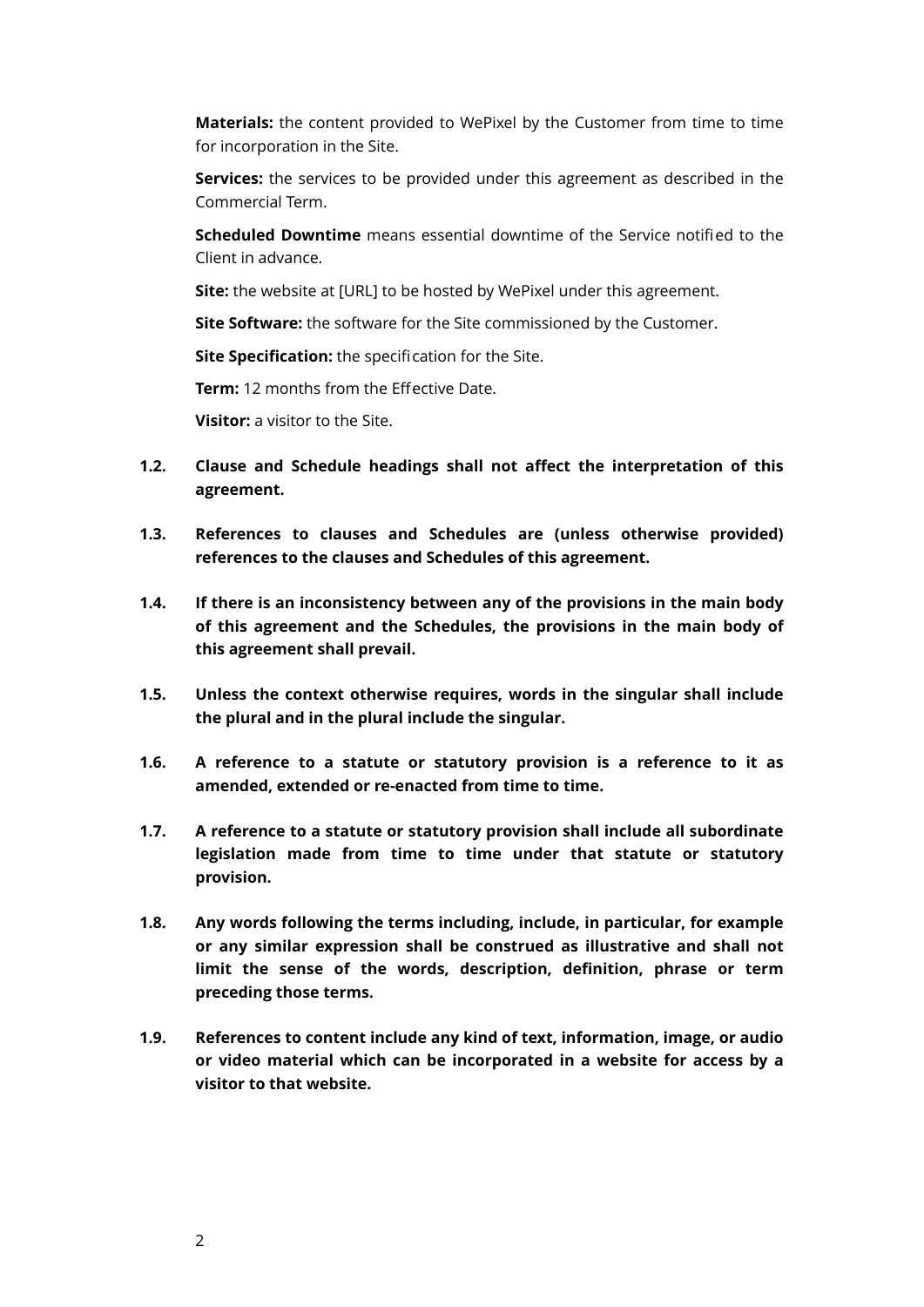**Materials:** the content provided to WePixel by the Customer from time to time for incorporation in the Site.

**Services:** the services to be provided under this agreement as described in the Commercial Term.

**Scheduled Downtime** means essential downtime of the Service notified to the Client in advance.

**Site:** the website at [URL] to be hosted by WePixel under this agreement.

**Site Software:** the software for the Site commissioned by the Customer.

**Site Specification:** the specification for the Site.

**Term:** 12 months from the Effective Date.

**Visitor:** a visitor to the Site.

- **1.2. Clause and Schedule headings shall not affect the interpretation of this agreement.**
- **1.3. References to clauses and Schedules are (unless otherwise provided) references to the clauses and Schedules of this agreement.**
- **1.4. If there is an inconsistency between any of the provisions in the main body of this agreement and the Schedules, the provisions in the main body of this agreement shall prevail.**
- **1.5. Unless the context otherwise requires, words in the singular shall include the plural and in the plural include the singular.**
- **1.6. A reference to a statute or statutory provision is a reference to it as amended, extended or re-enacted from time to time.**
- **1.7. A reference to a statute or statutory provision shall include all subordinate legislation made from time to time under that statute or statutory provision.**
- **1.8. Any words following the terms including, include, in particular, for example or any similar expression shall be construed as illustrative and shall not limit the sense of the words, description, definition, phrase or term preceding those terms.**
- **1.9. References to content include any kind of text, information, image, or audio or video material which can be incorporated in a website for access by a visitor to that website.**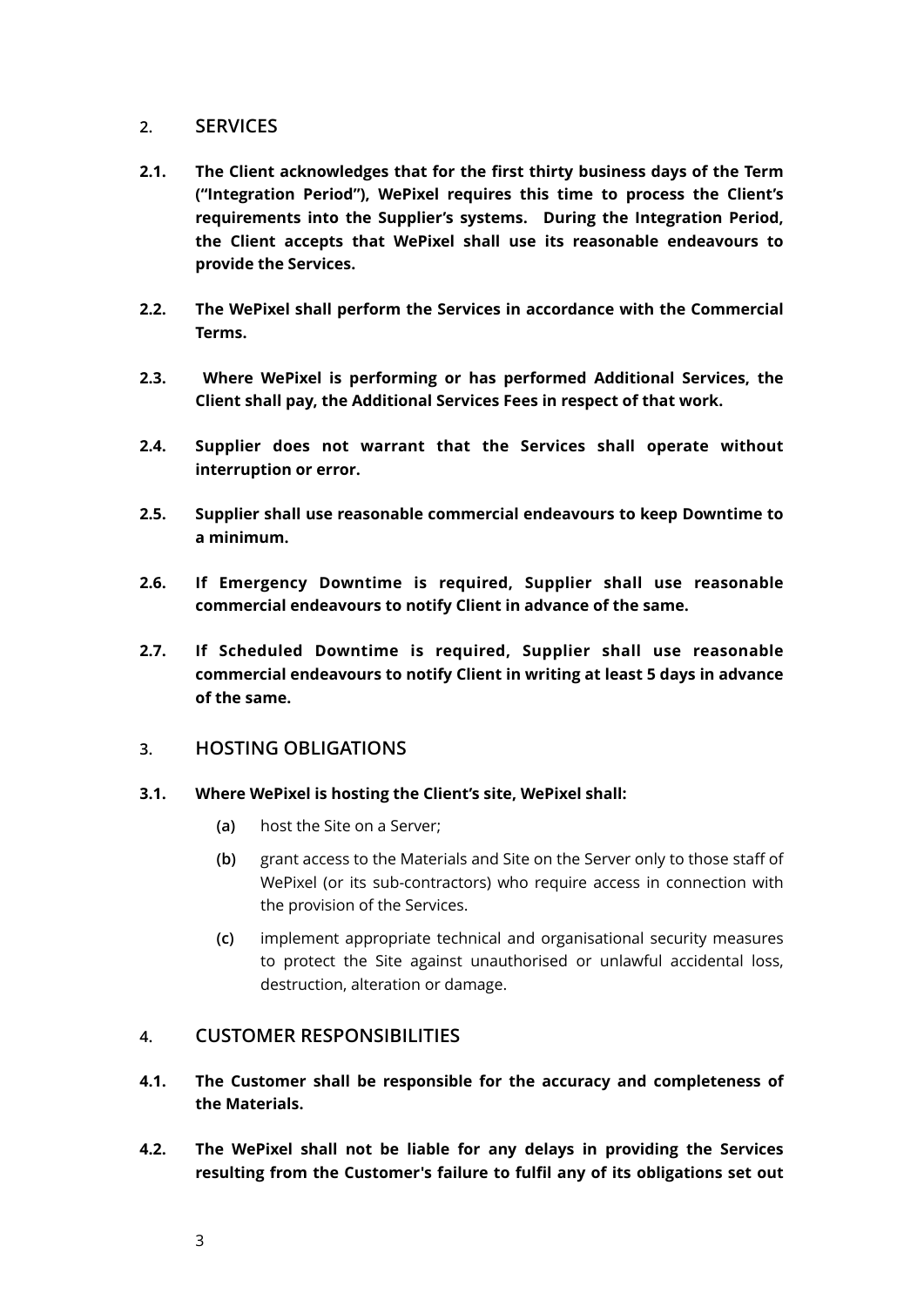# **2. SERVICES**

- **2.1. The Client acknowledges that for the first thirty business days of the Term ("Integration Period"), WePixel requires this time to process the Client's requirements into the Supplier's systems. During the Integration Period, the Client accepts that WePixel shall use its reasonable endeavours to provide the Services.**
- **2.2. The WePixel shall perform the Services in accordance with the Commercial Terms.**
- **2.3. Where WePixel is performing or has performed Additional Services, the Client shall pay, the Additional Services Fees in respect of that work.**
- **2.4. Supplier does not warrant that the Services shall operate without interruption or error.**
- **2.5. Supplier shall use reasonable commercial endeavours to keep Downtime to a minimum.**
- **2.6. If Emergency Downtime is required, Supplier shall use reasonable commercial endeavours to notify Client in advance of the same.**
- **2.7. If Scheduled Downtime is required, Supplier shall use reasonable commercial endeavours to notify Client in writing at least 5 days in advance of the same.**

# **3. HOSTING OBLIGATIONS**

# **3.1. Where WePixel is hosting the Client's site, WePixel shall:**

- **(a)** host the Site on a Server;
- **(b)** grant access to the Materials and Site on the Server only to those staff of WePixel (or its sub-contractors) who require access in connection with the provision of the Services.
- **(c)** implement appropriate technical and organisational security measures to protect the Site against unauthorised or unlawful accidental loss, destruction, alteration or damage.

# **4. CUSTOMER RESPONSIBILITIES**

- **4.1. The Customer shall be responsible for the accuracy and completeness of the Materials.**
- **4.2. The WePixel shall not be liable for any delays in providing the Services resulting from the Customer's failure to fulfil any of its obligations set out**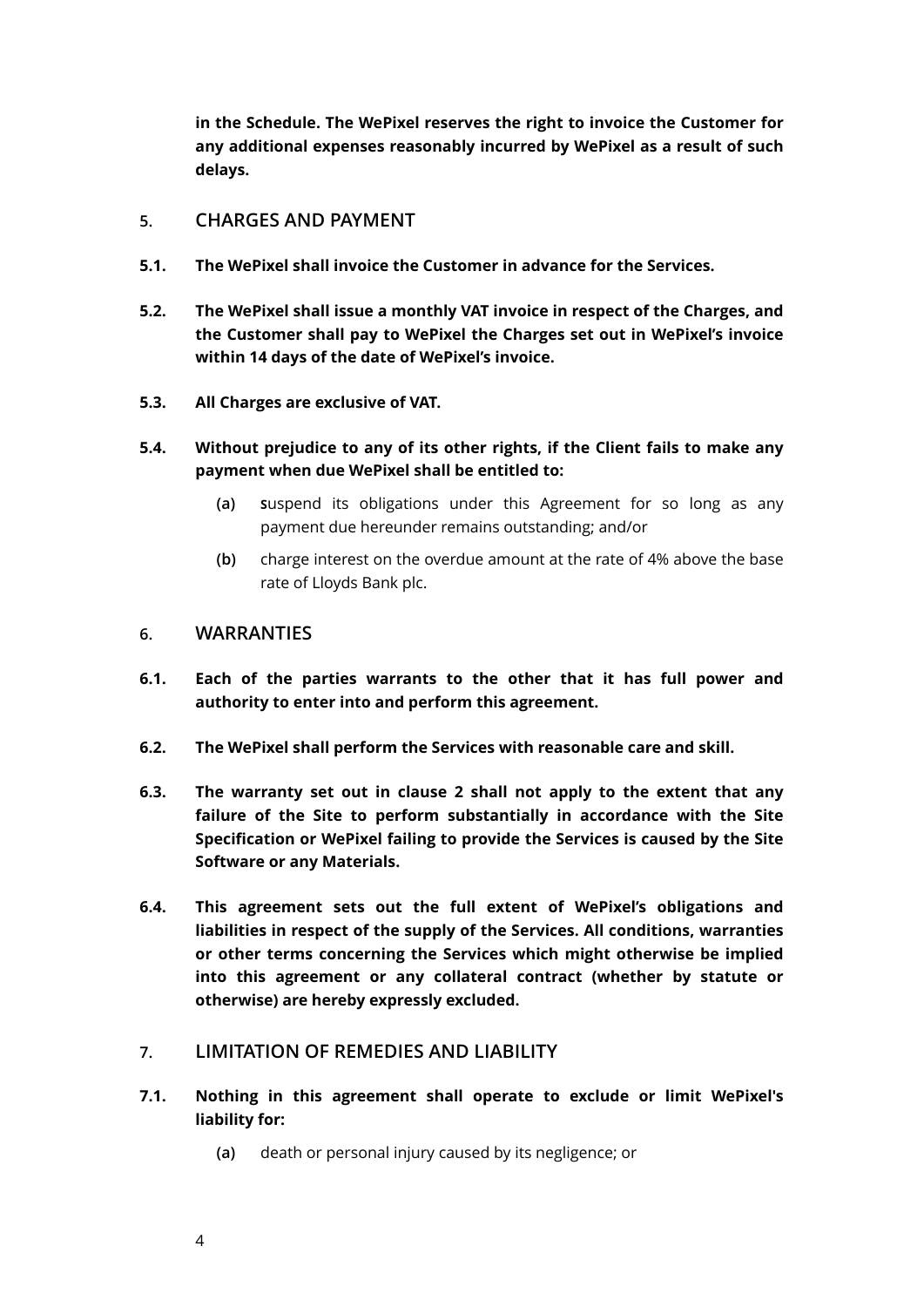**in the Schedule. The WePixel reserves the right to invoice the Customer for any additional expenses reasonably incurred by WePixel as a result of such delays.** 

# **5. CHARGES AND PAYMENT**

- **5.1. The WePixel shall invoice the Customer in advance for the Services.**
- **5.2. The WePixel shall issue a monthly VAT invoice in respect of the Charges, and the Customer shall pay to WePixel the Charges set out in WePixel's invoice within 14 days of the date of WePixel's invoice.**
- **5.3. All Charges are exclusive of VAT.**
- **5.4. Without prejudice to any of its other rights, if the Client fails to make any payment when due WePixel shall be entitled to:** 
	- **(a) S**uspend its obligations under this Agreement for so long as any payment due hereunder remains outstanding; and/or
	- **(b)** charge interest on the overdue amount at the rate of 4% above the base rate of Lloyds Bank plc.

# **6. WARRANTIES**

- **6.1. Each of the parties warrants to the other that it has full power and authority to enter into and perform this agreement.**
- **6.2. The WePixel shall perform the Services with reasonable care and skill.**
- **6.3. The warranty set out in clause 2 shall not apply to the extent that any failure of the Site to perform substantially in accordance with the Site Specification or WePixel failing to provide the Services is caused by the Site Software or any Materials.**
- **6.4. This agreement sets out the full extent of WePixel's obligations and liabilities in respect of the supply of the Services. All conditions, warranties or other terms concerning the Services which might otherwise be implied into this agreement or any collateral contract (whether by statute or otherwise) are hereby expressly excluded.**

# **7. LIMITATION OF REMEDIES AND LIABILITY**

- <span id="page-3-0"></span>**7.1. Nothing in this agreement shall operate to exclude or limit WePixel's liability for:** 
	- **(a)** death or personal injury caused by its negligence; or
	- 4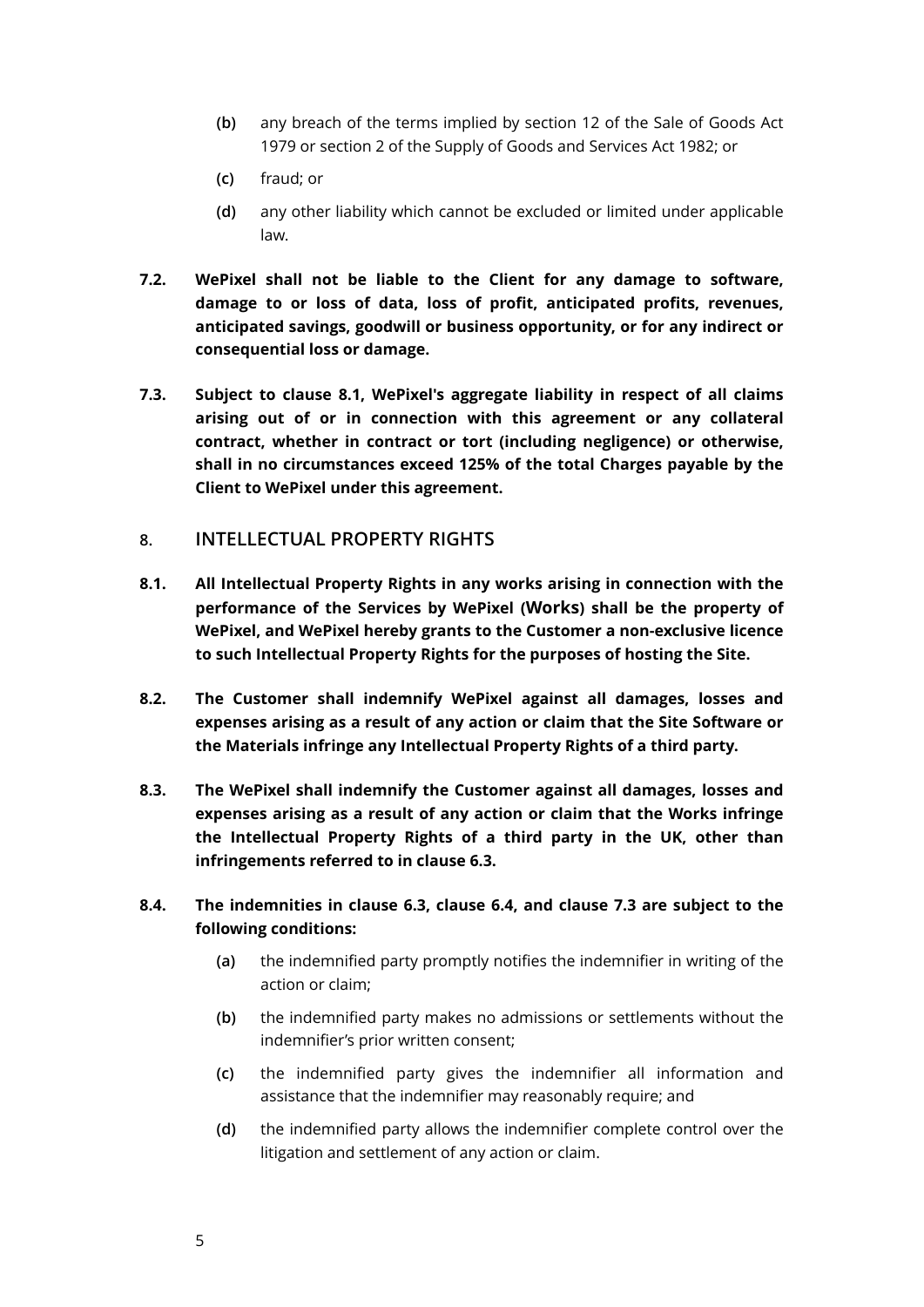- **(b)** any breach of the terms implied by section 12 of the Sale of Goods Act 1979 or section 2 of the Supply of Goods and Services Act 1982; or
- **(c)** fraud; or
- **(d)** any other liability which cannot be excluded or limited under applicable law.
- **7.2. WePixel shall not be liable to the Client for any damage to software, damage to or loss of data, loss of profit, anticipated profits, revenues, anticipated savings, goodwill or business opportunity, or for any indirect or consequential loss or damage.**
- **7.3. Subject to clause [8.1](#page-3-0), WePixel's aggregate liability in respect of all claims arising out of or in connection with this agreement or any collateral contract, whether in contract or tort (including negligence) or otherwise, shall in no circumstances exceed 125% of the total Charges payable by the Client to WePixel under this agreement.**
- **8. INTELLECTUAL PROPERTY RIGHTS**
- <span id="page-4-2"></span>**8.1. All Intellectual Property Rights in any works arising in connection with the performance of the Services by WePixel (Works) shall be the property of WePixel, and WePixel hereby grants to the Customer a non-exclusive licence to such Intellectual Property Rights for the purposes of hosting the Site.**
- <span id="page-4-0"></span>**8.2. The Customer shall indemnify WePixel against all damages, losses and expenses arising as a result of any action or claim that the Site Software or the Materials infringe any Intellectual Property Rights of a third party.**
- <span id="page-4-1"></span>**8.3. The WePixel shall indemnify the Customer against all damages, losses and expenses arising as a result of any action or claim that the Works infringe the Intellectual Property Rights of a third party in the UK, other than infringements referred to in clause [6.3](#page-4-0).**
- **8.4. The indemnities in clause [6.3](#page-4-0), clause [6.4,](#page-4-1) and clause [7.3](#page-5-0) are subject to the following conditions:** 
	- **(a)** the indemnified party promptly notifies the indemnifier in writing of the action or claim;
	- **(b)** the indemnified party makes no admissions or settlements without the indemnifier's prior written consent;
	- **(c)** the indemnified party gives the indemnifier all information and assistance that the indemnifier may reasonably require; and
	- **(d)** the indemnified party allows the indemnifier complete control over the litigation and settlement of any action or claim.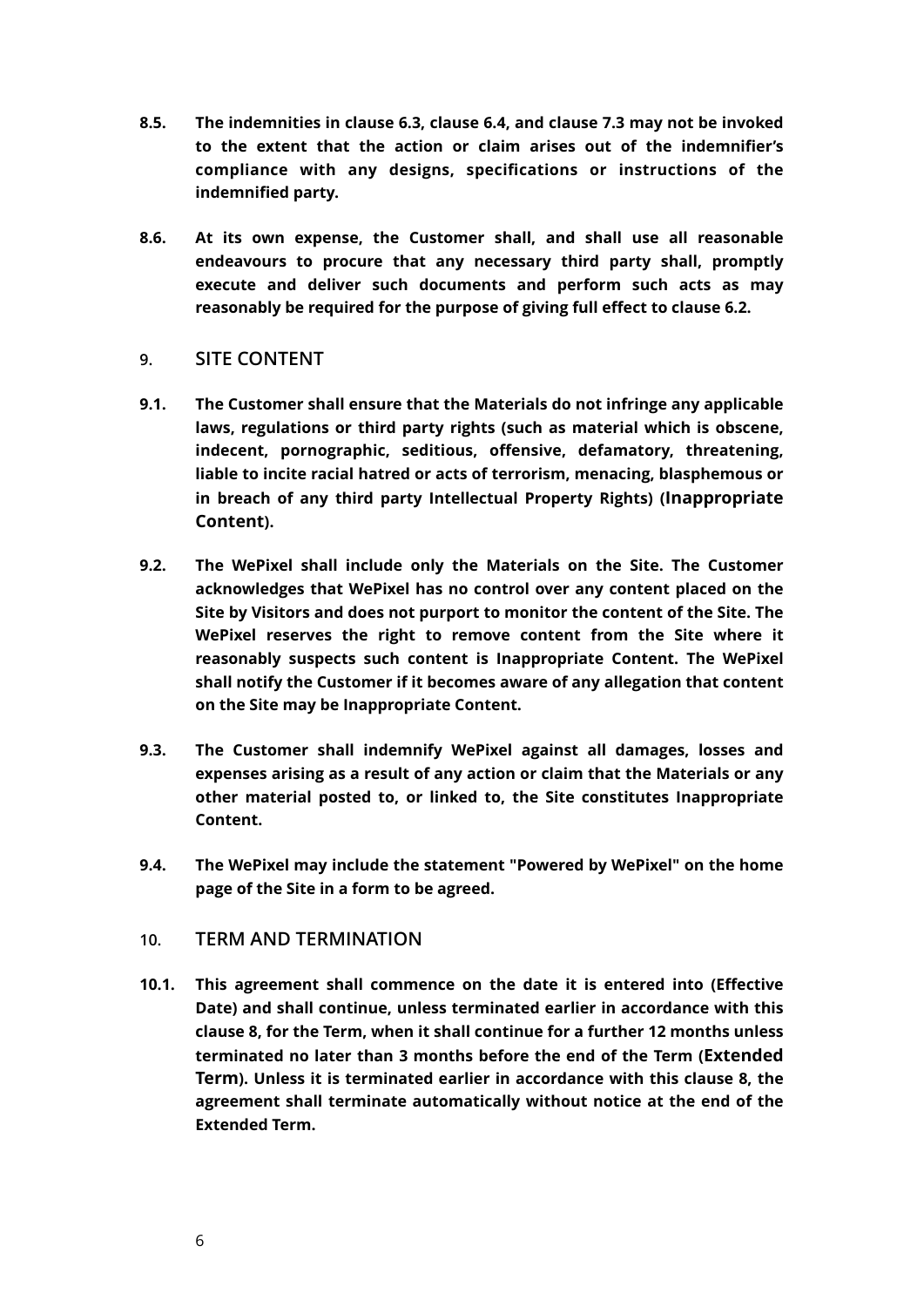- **8.5. The indemnities in clause [6.3](#page-4-0), clause [6.4,](#page-4-1) and clause [7.3](#page-5-0) may not be invoked to the extent that the action or claim arises out of the indemnifier's compliance with any designs, specifications or instructions of the indemnified party.**
- **8.6. At its own expense, the Customer shall, and shall use all reasonable endeavours to procure that any necessary third party shall, promptly execute and deliver such documents and perform such acts as may reasonably be required for the purpose of giving full effect to clause [6.2](#page-4-2).**

# **9. SITE CONTENT**

- **9.1. The Customer shall ensure that the Materials do not infringe any applicable laws, regulations or third party rights (such as material which is obscene, indecent, pornographic, seditious, offensive, defamatory, threatening, liable to incite racial hatred or acts of terrorism, menacing, blasphemous or in breach of any third party Intellectual Property Rights) (Inappropriate Content).**
- **9.2. The WePixel shall include only the Materials on the Site. The Customer acknowledges that WePixel has no control over any content placed on the Site by Visitors and does not purport to monitor the content of the Site. The WePixel reserves the right to remove content from the Site where it reasonably suspects such content is Inappropriate Content. The WePixel shall notify the Customer if it becomes aware of any allegation that content on the Site may be Inappropriate Content.**
- <span id="page-5-0"></span>**9.3. The Customer shall indemnify WePixel against all damages, losses and expenses arising as a result of any action or claim that the Materials or any other material posted to, or linked to, the Site constitutes Inappropriate Content.**
- **9.4. The WePixel may include the statement "Powered by WePixel" on the home page of the Site in a form to be agreed.**

# <span id="page-5-1"></span>**10. TERM AND TERMINATION**

**10.1. This agreement shall commence on the date it is entered into (Effective Date) and shall continue, unless terminated earlier in accordance with this clause [8](#page-5-1), for the Term, when it shall continue for a further 12 months unless terminated no later than 3 months before the end of the Term (Extended Term). Unless it is terminated earlier in accordance with this clause [8,](#page-5-1) the agreement shall terminate automatically without notice at the end of the Extended Term.**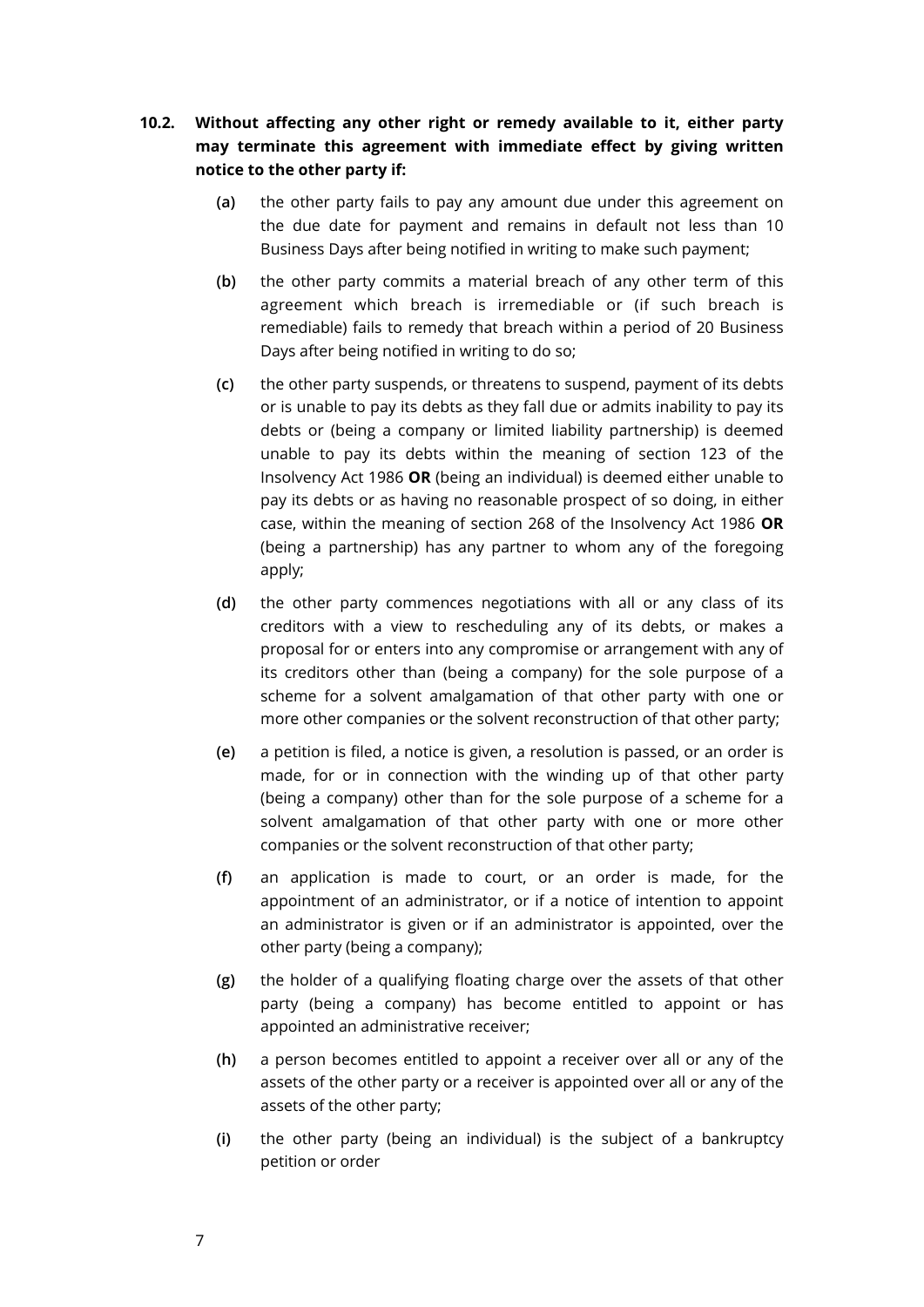# <span id="page-6-1"></span>**10.2. Without affecting any other right or remedy available to it, either party may terminate this agreement with immediate effect by giving written notice to the other party if:**

- **(a)** the other party fails to pay any amount due under this agreement on the due date for payment and remains in default not less than 10 Business Days after being notified in writing to make such payment;
- **(b)** the other party commits a material breach of any other term of this agreement which breach is irremediable or (if such breach is remediable) fails to remedy that breach within a period of 20 Business Days after being notified in writing to do so;
- <span id="page-6-0"></span>**(c)** the other party suspends, or threatens to suspend, payment of its debts or is unable to pay its debts as they fall due or admits inability to pay its debts or (being a company or limited liability partnership) is deemed unable to pay its debts within the meaning of section 123 of the Insolvency Act 1986 **OR** (being an individual) is deemed either unable to pay its debts or as having no reasonable prospect of so doing, in either case, within the meaning of section 268 of the Insolvency Act 1986 **OR** (being a partnership) has any partner to whom any of the foregoing apply;
- **(d)** the other party commences negotiations with all or any class of its creditors with a view to rescheduling any of its debts, or makes a proposal for or enters into any compromise or arrangement with any of its creditors other than (being a company) for the sole purpose of a scheme for a solvent amalgamation of that other party with one or more other companies or the solvent reconstruction of that other party;
- **(e)** a petition is filed, a notice is given, a resolution is passed, or an order is made, for or in connection with the winding up of that other party (being a company) other than for the sole purpose of a scheme for a solvent amalgamation of that other party with one or more other companies or the solvent reconstruction of that other party;
- **(f)** an application is made to court, or an order is made, for the appointment of an administrator, or if a notice of intention to appoint an administrator is given or if an administrator is appointed, over the other party (being a company);
- **(g)** the holder of a qualifying floating charge over the assets of that other party (being a company) has become entitled to appoint or has appointed an administrative receiver;
- **(h)** a person becomes entitled to appoint a receiver over all or any of the assets of the other party or a receiver is appointed over all or any of the assets of the other party;
- **(i)** the other party (being an individual) is the subject of a bankruptcy petition or order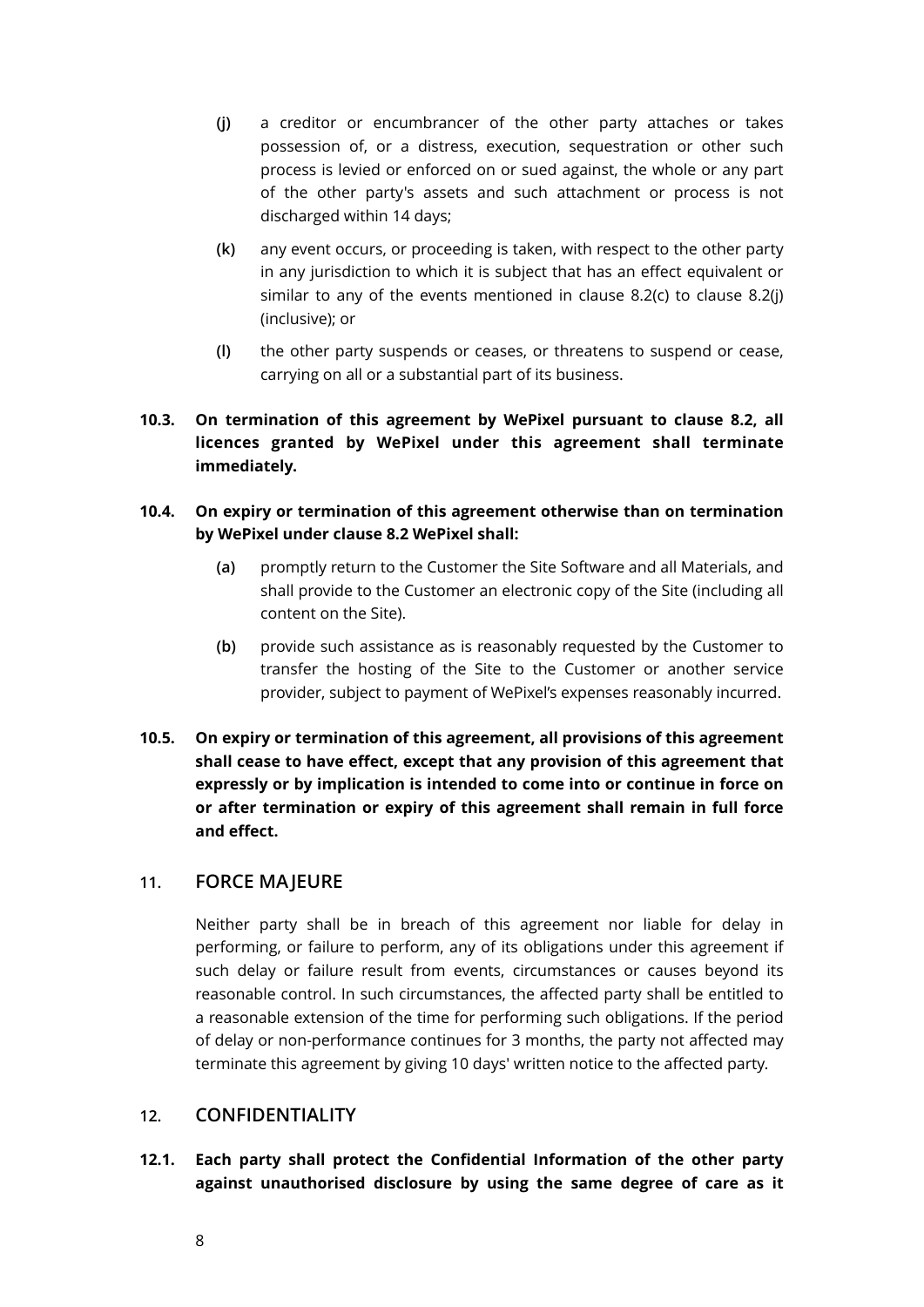- <span id="page-7-0"></span>**(j)** a creditor or encumbrancer of the other party attaches or takes possession of, or a distress, execution, sequestration or other such process is levied or enforced on or sued against, the whole or any part of the other party's assets and such attachment or process is not discharged within 14 days;
- **(k)** any event occurs, or proceeding is taken, with respect to the other party in any jurisdiction to which it is subject that has an effect equivalent or similar to any of the events mentioned in clause [8.2\(c\)](#page-6-0) to clause [8.2\(j\)](#page-7-0)  (inclusive); or
- **(l)** the other party suspends or ceases, or threatens to suspend or cease, carrying on all or a substantial part of its business.
- **10.3. On termination of this agreement by WePixel pursuant to clause [8.2](#page-6-1), all licences granted by WePixel under this agreement shall terminate immediately.**

# **10.4. On expiry or termination of this agreement otherwise than on termination by WePixel under clause [8.2](#page-6-1) WePixel shall:**

- **(a)** promptly return to the Customer the Site Software and all Materials, and shall provide to the Customer an electronic copy of the Site (including all content on the Site).
- **(b)** provide such assistance as is reasonably requested by the Customer to transfer the hosting of the Site to the Customer or another service provider, subject to payment of WePixel's expenses reasonably incurred.
- **10.5. On expiry or termination of this agreement, all provisions of this agreement shall cease to have effect, except that any provision of this agreement that expressly or by implication is intended to come into or continue in force on or after termination or expiry of this agreement shall remain in full force and effect.**

# **11. FORCE MAJEURE**

Neither party shall be in breach of this agreement nor liable for delay in performing, or failure to perform, any of its obligations under this agreement if such delay or failure result from events, circumstances or causes beyond its reasonable control. In such circumstances, the affected party shall be entitled to a reasonable extension of the time for performing such obligations. If the period of delay or non-performance continues for 3 months, the party not affected may terminate this agreement by giving 10 days' written notice to the affected party.

# <span id="page-7-1"></span>**12. CONFIDENTIALITY**

**12.1. Each party shall protect the Confidential Information of the other party against unauthorised disclosure by using the same degree of care as it**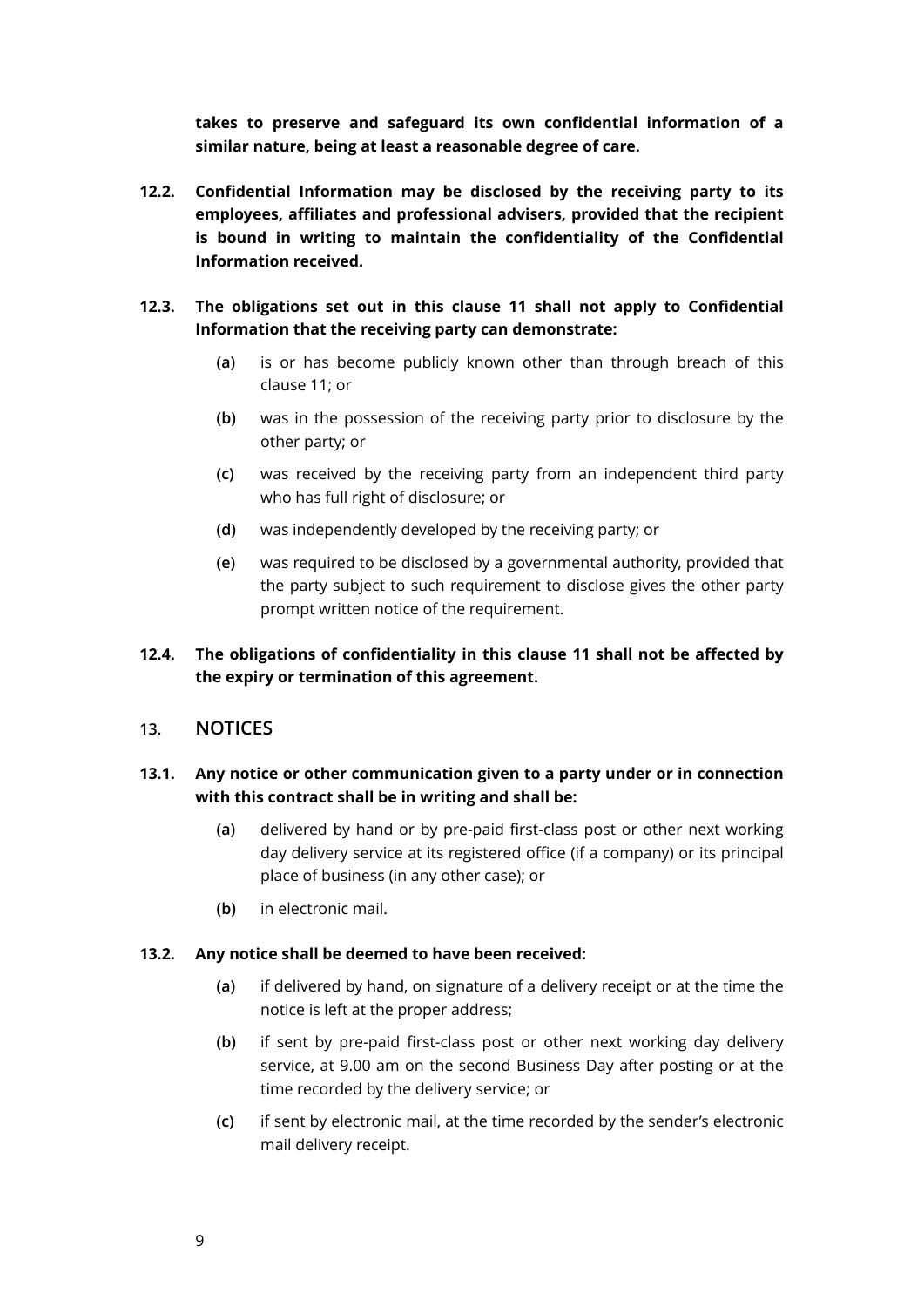**takes to preserve and safeguard its own confidential information of a similar nature, being at least a reasonable degree of care.** 

- **12.2. Confidential Information may be disclosed by the receiving party to its employees, affiliates and professional advisers, provided that the recipient is bound in writing to maintain the confidentiality of the Confidential Information received.**
- **12.3. The obligations set out in this clause [11](#page-7-1) shall not apply to Confidential Information that the receiving party can demonstrate:** 
	- **(a)** is or has become publicly known other than through breach of this clause [11](#page-7-1); or
	- **(b)** was in the possession of the receiving party prior to disclosure by the other party; or
	- **(c)** was received by the receiving party from an independent third party who has full right of disclosure; or
	- **(d)** was independently developed by the receiving party; or
	- **(e)** was required to be disclosed by a governmental authority, provided that the party subject to such requirement to disclose gives the other party prompt written notice of the requirement.

# **12.4. The obligations of confidentiality in this clause [11](#page-7-1) shall not be affected by the expiry or termination of this agreement.**

**13. NOTICES** 

# **13.1. Any notice or other communication given to a party under or in connection with this contract shall be in writing and shall be:**

- **(a)** delivered by hand or by pre-paid first-class post or other next working day delivery service at its registered office (if a company) or its principal place of business (in any other case); or
- **(b)** in electronic mail.

# **13.2. Any notice shall be deemed to have been received:**

- **(a)** if delivered by hand, on signature of a delivery receipt or at the time the notice is left at the proper address;
- **(b)** if sent by pre-paid first-class post or other next working day delivery service, at 9.00 am on the second Business Day after posting or at the time recorded by the delivery service; or
- **(c)** if sent by electronic mail, at the time recorded by the sender's electronic mail delivery receipt.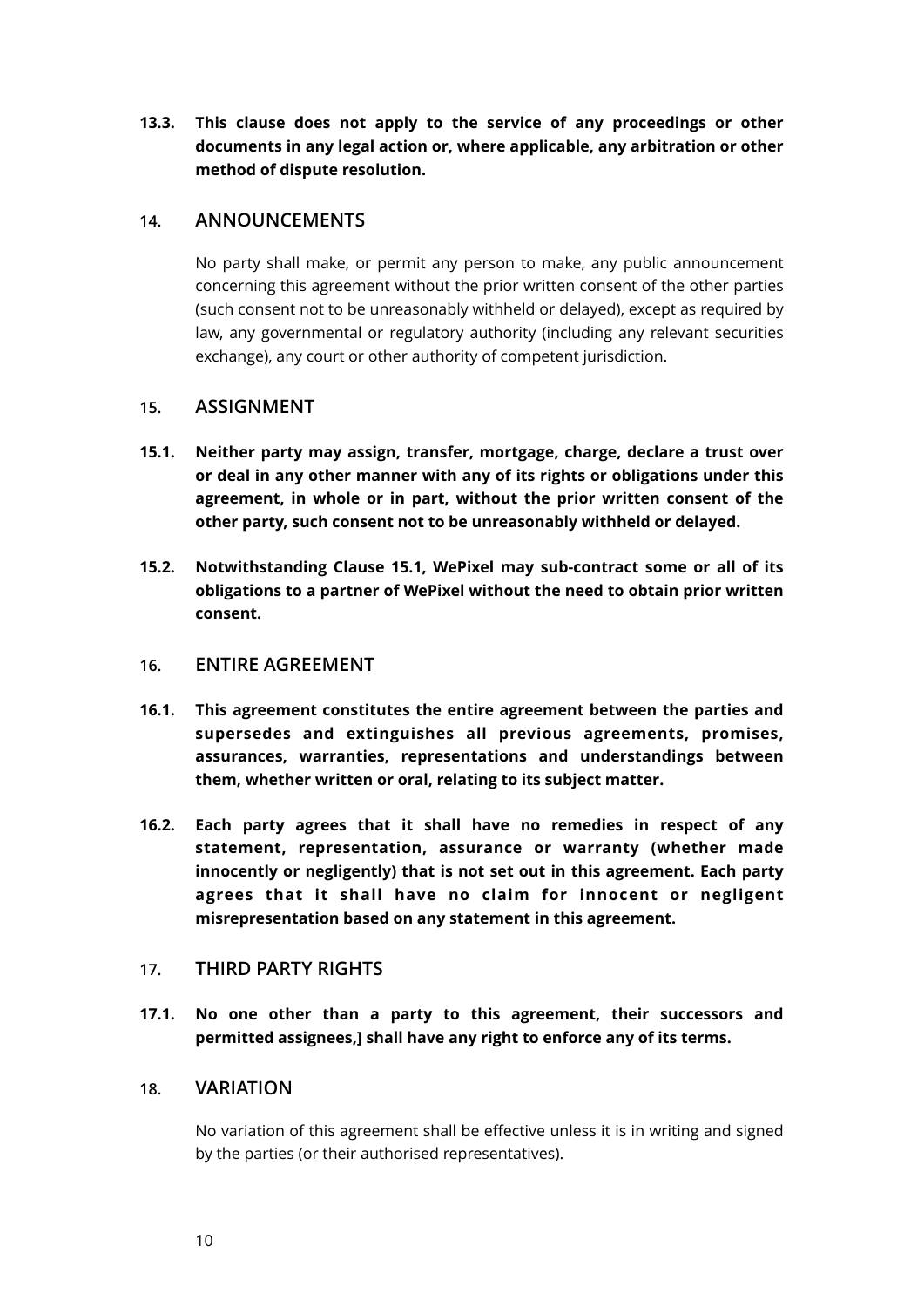**13.3. This clause does not apply to the service of any proceedings or other documents in any legal action or, where applicable, any arbitration or other method of dispute resolution.** 

# **14. ANNOUNCEMENTS**

No party shall make, or permit any person to make, any public announcement concerning this agreement without the prior written consent of the other parties (such consent not to be unreasonably withheld or delayed), except as required by law, any governmental or regulatory authority (including any relevant securities exchange), any court or other authority of competent jurisdiction.

# **15. ASSIGNMENT**

- **15.1. Neither party may assign, transfer, mortgage, charge, declare a trust over or deal in any other manner with any of its rights or obligations under this agreement, in whole or in part, without the prior written consent of the other party, such consent not to be unreasonably withheld or delayed.**
- **15.2. Notwithstanding Clause 15.1, WePixel may sub-contract some or all of its obligations to a partner of WePixel without the need to obtain prior written consent.**

# **16. ENTIRE AGREEMENT**

- **16.1. This agreement constitutes the entire agreement between the parties and supersedes and extinguishes all previous agreements, promises, assurances, warranties, representations and understandings between them, whether written or oral, relating to its subject matter.**
- **16.2. Each party agrees that it shall have no remedies in respect of any statement, representation, assurance or warranty (whether made innocently or negligently) that is not set out in this agreement. Each party agrees that it shall have no claim for innocent or negligent misrepresentation based on any statement in this agreement.**

# **17. THIRD PARTY RIGHTS**

**17.1. No one other than a party to this agreement, their successors and permitted assignees,] shall have any right to enforce any of its terms.** 

# **18. VARIATION**

No variation of this agreement shall be effective unless it is in writing and signed by the parties (or their authorised representatives).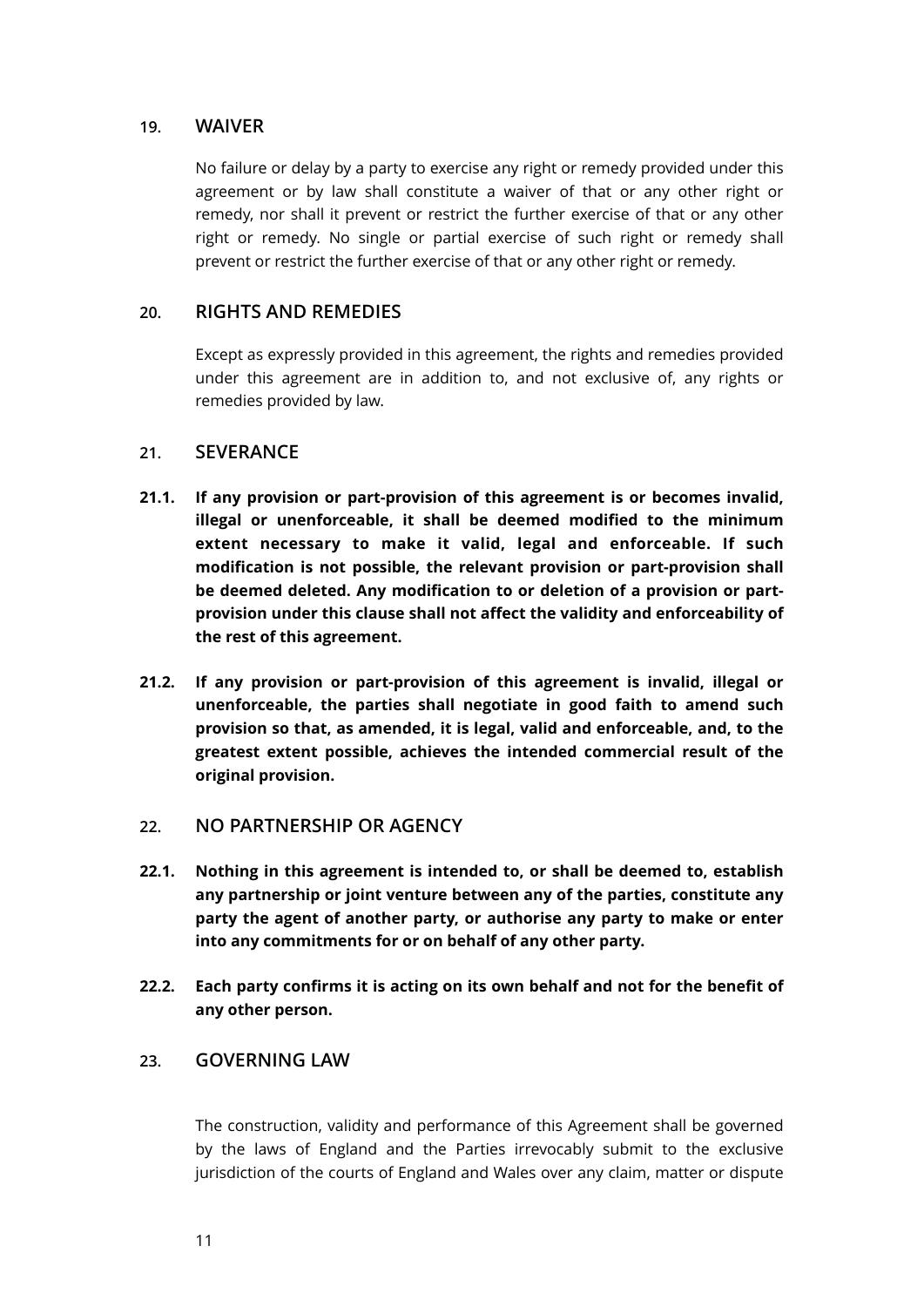# **19. WAIVER**

No failure or delay by a party to exercise any right or remedy provided under this agreement or by law shall constitute a waiver of that or any other right or remedy, nor shall it prevent or restrict the further exercise of that or any other right or remedy. No single or partial exercise of such right or remedy shall prevent or restrict the further exercise of that or any other right or remedy.

# **20. RIGHTS AND REMEDIES**

Except as expressly provided in this agreement, the rights and remedies provided under this agreement are in addition to, and not exclusive of, any rights or remedies provided by law.

# **21. SEVERANCE**

- **21.1. If any provision or part-provision of this agreement is or becomes invalid, illegal or unenforceable, it shall be deemed modified to the minimum extent necessary to make it valid, legal and enforceable. If such modification is not possible, the relevant provision or part-provision shall be deemed deleted. Any modification to or deletion of a provision or partprovision under this clause shall not affect the validity and enforceability of the rest of this agreement.**
- **21.2. If any provision or part-provision of this agreement is invalid, illegal or unenforceable, the parties shall negotiate in good faith to amend such provision so that, as amended, it is legal, valid and enforceable, and, to the greatest extent possible, achieves the intended commercial result of the original provision.**
- **22. NO PARTNERSHIP OR AGENCY**
- **22.1. Nothing in this agreement is intended to, or shall be deemed to, establish any partnership or joint venture between any of the parties, constitute any party the agent of another party, or authorise any party to make or enter into any commitments for or on behalf of any other party.**
- **22.2. Each party confirms it is acting on its own behalf and not for the benefit of any other person.**

# **23. GOVERNING LAW**

The construction, validity and performance of this Agreement shall be governed by the laws of England and the Parties irrevocably submit to the exclusive jurisdiction of the courts of England and Wales over any claim, matter or dispute